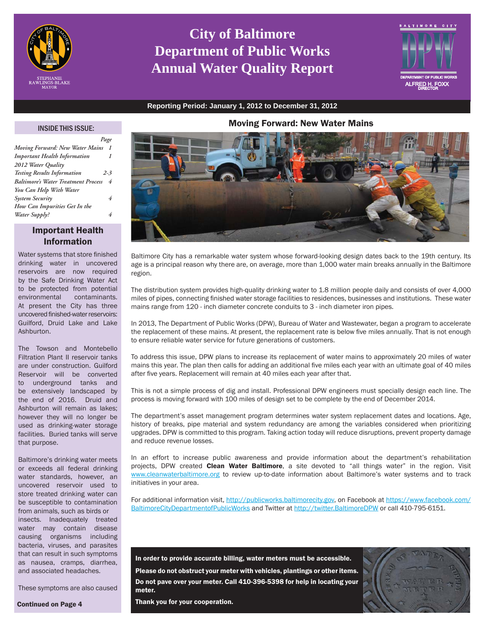

# **City of Baltimore Department of Public Works Annual Water Quality Report**



**Reporting Period: January 1, 2012 to December 31, 2012**

# Moving Forward: New Water Mains

# INSIDE THIS ISSUE:

*Page*

| Moving Forward: New Water Mains            | $\boldsymbol{\mathcal{I}}$ |
|--------------------------------------------|----------------------------|
| <b>Important Health Information</b>        | 1                          |
| 2012 Water Quality                         |                            |
| <b>Testing Results Information</b>         | $2 - 3$                    |
| <b>Baltimore's Water Treatment Process</b> | 4                          |
| You Can Help With Water                    |                            |
| <b>System Security</b>                     | 4                          |
| How Can Impurities Get In the              |                            |
| Water Supply?                              | 4                          |
|                                            |                            |

# Important Health Information

Water systems that store finished drinking water in uncovered reservoirs are now required by the Safe Drinking Water Act to be protected from potential environmental contaminants. At present the City has three uncovered finished-water reservoirs: Guilford, Druid Lake and Lake **Ashhurton** 

The Towson and Montebello Filtration Plant II reservoir tanks are under construction. Guilford Reservoir will be converted to underground tanks and be extensively landscaped by the end of 2016. Druid and Ashburton will remain as lakes; however they will no longer be used as drinking-water storage facilities. Buried tanks will serve that purpose.

Baltimore's drinking water meets or exceeds all federal drinking water standards, however, an uncovered reservoir used to store treated drinking water can be susceptible to contamination from animals, such as birds or insects. Inadequately treated water may contain disease causing organisms including bacteria, viruses, and parasites that can result in such symptoms as nausea, cramps, diarrhea, and associated headaches.

These symptoms are also caused

Continued on Page 4



Baltimore City has a remarkable water system whose forward-looking design dates back to the 19th century. Its age is a principal reason why there are, on average, more than 1,000 water main breaks annually in the Baltimore region.

The distribution system provides high-quality drinking water to 1.8 million people daily and consists of over 4,000 miles of pipes, connecting finished water storage facilities to residences, businesses and institutions. These water mains range from 120 - inch diameter concrete conduits to 3 - inch diameter iron pipes.

In 2013, The Department of Public Works (DPW), Bureau of Water and Wastewater, began a program to accelerate the replacement of these mains. At present, the replacement rate is below five miles annually. That is not enough to ensure reliable water service for future generations of customers.

To address this issue, DPW plans to increase its replacement of water mains to approximately 20 miles of water mains this year. The plan then calls for adding an additional five miles each year with an ultimate goal of 40 miles after five years. Replacement will remain at 40 miles each year after that.

This is not a simple process of dig and install. Professional DPW engineers must specially design each line. The process is moving forward with 100 miles of design set to be complete by the end of December 2014.

The department's asset management program determines water system replacement dates and locations. Age, history of breaks, pipe material and system redundancy are among the variables considered when prioritizing upgrades. DPW is committed to this program. Taking action today will reduce disruptions, prevent property damage and reduce revenue losses.

In an effort to increase public awareness and provide information about the department's rehabilitation projects, DPW created **Clean Water Baltimore**, a site devoted to "all things water" in the region. Visit www.cleanwaterbaltimore.org to review up-to-date information about Baltimore's water systems and to track initiatives in your area.

For additional information visit, http://publicworks.baltimorecity.gov, on Facebook at https://www.facebook.com/ BaltimoreCityDepartmentofPublicWorks and Twitter at http://twitter.BaltimoreDPW or call 410-795-6151.

In order to provide accurate billing, water meters must be accessible. Please do not obstruct your meter with vehicles, plantings or other items. Do not pave over your meter. Call 410-396-5398 for help in locating your meter.



Thank you for your cooperation.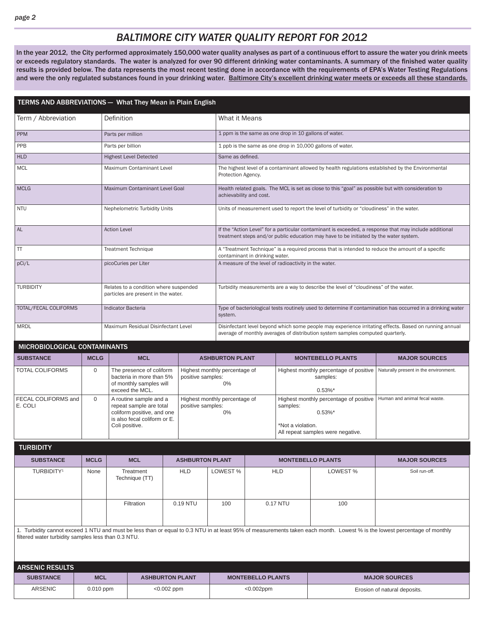# *BALTIMORE CITY WATER QUALITY REPORT FOR 2012*

In the year 2012, the City performed approximately 150,000 water quality analyses as part of a continuous effort to assure the water you drink meets or exceeds regulatory standards. The water is analyzed for over 90 different drinking water contaminants. A summary of the finished water quality results is provided below. The data represents the most recent testing done in accordance with the requirements of EPA's Water Testing Regulations and were the only regulated substances found in your drinking water. Baltimore City's excellent drinking water meets or exceeds all these standards.

| TERMS AND ABBREVIATIONS - What They Mean in Plain English |                                                                               |                                                                                                                                                        |  |                        |                                                                                      |                                                                                                                                                                                             |                                                                  |                                                                                          |                                                                                                        |  |  |
|-----------------------------------------------------------|-------------------------------------------------------------------------------|--------------------------------------------------------------------------------------------------------------------------------------------------------|--|------------------------|--------------------------------------------------------------------------------------|---------------------------------------------------------------------------------------------------------------------------------------------------------------------------------------------|------------------------------------------------------------------|------------------------------------------------------------------------------------------|--------------------------------------------------------------------------------------------------------|--|--|
| Term / Abbreviation                                       |                                                                               | Definition                                                                                                                                             |  |                        |                                                                                      | What it Means                                                                                                                                                                               |                                                                  |                                                                                          |                                                                                                        |  |  |
| <b>PPM</b>                                                |                                                                               | Parts per million                                                                                                                                      |  |                        |                                                                                      | 1 ppm is the same as one drop in 10 gallons of water.                                                                                                                                       |                                                                  |                                                                                          |                                                                                                        |  |  |
| PPB                                                       |                                                                               | Parts per billion                                                                                                                                      |  |                        |                                                                                      |                                                                                                                                                                                             |                                                                  | 1 ppb is the same as one drop in 10,000 gallons of water.                                |                                                                                                        |  |  |
| <b>HLD</b>                                                |                                                                               | <b>Highest Level Detected</b>                                                                                                                          |  |                        |                                                                                      | Same as defined.                                                                                                                                                                            |                                                                  |                                                                                          |                                                                                                        |  |  |
| <b>MCL</b>                                                |                                                                               | Maximum Contaminant Level                                                                                                                              |  |                        | Protection Agency.                                                                   |                                                                                                                                                                                             |                                                                  |                                                                                          | The highest level of a contaminant allowed by health regulations established by the Environmental      |  |  |
| <b>MCLG</b>                                               |                                                                               | Maximum Contaminant Level Goal                                                                                                                         |  |                        |                                                                                      | Health related goals. The MCL is set as close to this "goal" as possible but with consideration to<br>achievability and cost.                                                               |                                                                  |                                                                                          |                                                                                                        |  |  |
| <b>NTU</b>                                                |                                                                               | Nephelometric Turbidity Units                                                                                                                          |  |                        |                                                                                      |                                                                                                                                                                                             |                                                                  | Units of measurement used to report the level of turbidity or "cloudiness" in the water. |                                                                                                        |  |  |
| <b>AL</b>                                                 |                                                                               | <b>Action Level</b>                                                                                                                                    |  |                        |                                                                                      |                                                                                                                                                                                             |                                                                  | treatment steps and/or public education may have to be initiated by the water system.    | If the "Action Level" for a particular contaminant is exceeded, a response that may include additional |  |  |
| <b>TT</b>                                                 |                                                                               | <b>Treatment Technique</b>                                                                                                                             |  |                        |                                                                                      |                                                                                                                                                                                             |                                                                  |                                                                                          | A "Treatment Technique" is a required process that is intended to reduce the amount of a specific      |  |  |
| pCi/L                                                     |                                                                               | picoCuries per Liter                                                                                                                                   |  |                        |                                                                                      | contaminant in drinking water.<br>A measure of the level of radioactivity in the water.                                                                                                     |                                                                  |                                                                                          |                                                                                                        |  |  |
| <b>TURBIDITY</b>                                          | Relates to a condition where suspended<br>particles are present in the water. |                                                                                                                                                        |  |                        | Turbidity measurements are a way to describe the level of "cloudiness" of the water. |                                                                                                                                                                                             |                                                                  |                                                                                          |                                                                                                        |  |  |
| TOTAL/FECAL COLIFORMS                                     |                                                                               | Indicator Bacteria                                                                                                                                     |  |                        | system.                                                                              | Type of bacteriological tests routinely used to determine if contamination has occurred in a drinking water                                                                                 |                                                                  |                                                                                          |                                                                                                        |  |  |
| <b>MRDL</b>                                               |                                                                               | Maximum Residual Disinfectant Level                                                                                                                    |  |                        |                                                                                      | Disinfectant level beyond which some people may experience irritating effects. Based on running annual<br>average of monthly averages of distribution system samples computed quarterly.    |                                                                  |                                                                                          |                                                                                                        |  |  |
| MICROBIOLOGICAL CONTAMINANTS                              |                                                                               |                                                                                                                                                        |  |                        |                                                                                      |                                                                                                                                                                                             |                                                                  |                                                                                          |                                                                                                        |  |  |
| <b>SUBSTANCE</b>                                          | <b>MCLG</b>                                                                   | <b>MCL</b>                                                                                                                                             |  |                        |                                                                                      | <b>ASHBURTON PLANT</b>                                                                                                                                                                      |                                                                  | <b>MONTEBELLO PLANTS</b>                                                                 | <b>MAJOR SOURCES</b>                                                                                   |  |  |
| <b>TOTAL COLIFORMS</b>                                    | $\mathbf{0}$                                                                  | The presence of coliform<br>positive samples:<br>bacteria in more than 5%<br>of monthly samples will<br>exceed the MCL.                                |  | 0%                     | Highest monthly percentage of                                                        |                                                                                                                                                                                             | Highest monthly percentage of positive<br>samples:<br>$0.53\%$ * | Naturally present in the environment.                                                    |                                                                                                        |  |  |
| FECAL COLIFORMS and<br>E. COLI                            | $\Omega$                                                                      | A routine sample and a<br>repeat sample are total<br>positive samples:<br>coliform positive, and one<br>is also fecal coliform or E.<br>Coli positive. |  |                        | 0%                                                                                   | Highest monthly percentage of positive   Human and animal fecal waste.<br>Highest monthly percentage of<br>samples:<br>$0.53\%$ *<br>*Not a violation.<br>All repeat samples were negative. |                                                                  |                                                                                          |                                                                                                        |  |  |
| <b>TURBIDITY</b>                                          |                                                                               |                                                                                                                                                        |  |                        |                                                                                      |                                                                                                                                                                                             |                                                                  |                                                                                          |                                                                                                        |  |  |
| <b>SUBSTANCE</b>                                          | <b>MCLG</b>                                                                   | <b>MCL</b>                                                                                                                                             |  | <b>ASHBURTON PLANT</b> |                                                                                      |                                                                                                                                                                                             | <b>MONTEBELLO PLANTS</b>                                         |                                                                                          | <b>MAJOR SOURCES</b>                                                                                   |  |  |
| TURBIDITY <sup>1</sup>                                    | None                                                                          | Treatment<br>Technique (TT)                                                                                                                            |  | <b>HLD</b>             | LOWEST%                                                                              | <b>HLD</b>                                                                                                                                                                                  |                                                                  | LOWEST%                                                                                  | Soil run-off.                                                                                          |  |  |

1. Turbidity cannot exceed 1 NTU and must be less than or equal to 0.3 NTU in at least 95% of measurements taken each month. Lowest % is the lowest percentage of monthly filtered water turbidity samples less than 0.3 NTU.

Filtration | 0.19 NTU | 100 | 0.17 NTU | 100

| <b>ARSENIC RESULTS</b> |             |                        |                          |                              |  |  |  |  |  |
|------------------------|-------------|------------------------|--------------------------|------------------------------|--|--|--|--|--|
| <b>SUBSTANCE</b>       | <b>MCL</b>  | <b>ASHBURTON PLANT</b> | <b>MONTEBELLO PLANTS</b> | <b>MAJOR SOURCES</b>         |  |  |  |  |  |
| <b>ARSENIC</b>         | $0.010$ ppm | $< 0.002$ ppm          | $<0.002$ ppm             | Erosion of natural deposits. |  |  |  |  |  |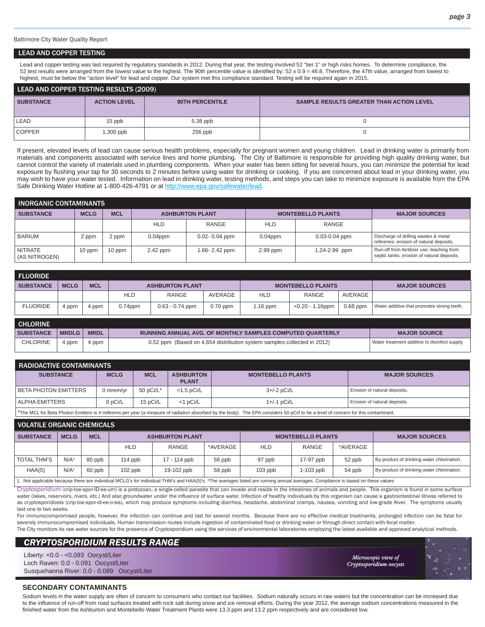Baltimore City Water Quality Report

#### LEAD AND COPPER TESTING

Lead and copper testing was last required by regulatory standards in 2012. During that year, the testing involved 52 "tier 1" or high risks homes. To determine compliance, the 52 test results were arranged from the lowest value to the highest. The 90th percentile value is identified by: 52 x 0.9 = 46.8. Therefore, the 47th value, arranged from lowest to highest, must be below the "action level" for lead and copper. Our system met this compliance standard. Testing will be required again in 2015.

| LEAD AND COPPER TESTING RESULTS (2009) |                     |                 |                                                 |  |  |  |  |  |
|----------------------------------------|---------------------|-----------------|-------------------------------------------------|--|--|--|--|--|
| <b>SUBSTANCE</b>                       | <b>ACTION LEVEL</b> | 90TH PERCENTILE | <b>SAMPLE RESULTS GREATER THAN ACTION LEVEL</b> |  |  |  |  |  |
| <b>LEAD</b>                            | 15 ppb              | $5.38$ ppb      |                                                 |  |  |  |  |  |
| <b>COPPER</b>                          | 1,300 ppb           | $256$ ppb       |                                                 |  |  |  |  |  |

If present, elevated levels of lead can cause serious health problems, especially for pregnant women and young children. Lead in drinking water is primarily from materials and components associated with service lines and home plumbing. The City of Baltimore is responsible for providing high quality drinking water, but cannot control the variety of materials used in plumbing components. When your water has been sitting for several hours, you can minimize the potential for lead exposure by flushing your tap for 30 seconds to 2 minutes before using water for drinking or cooking. If you are concerned about lead in your drinking water, you may wish to have your water tested. Information on lead in drinking water, testing methods, and steps you can take to minimize exposure is available from the EPA Safe Drinking Water Hotline at 1-800-426-4791 or at http://www.epa.gov/safewater/lead.

| <b>INORGANIC CONTAMINANTS</b>   |             |            |            |                        |            |                          |                                                                                          |  |  |  |
|---------------------------------|-------------|------------|------------|------------------------|------------|--------------------------|------------------------------------------------------------------------------------------|--|--|--|
| <b>SUBSTANCE</b>                | <b>MCLG</b> | <b>MCL</b> |            | <b>ASHBURTON PLANT</b> |            | <b>MONTEBELLO PLANTS</b> | <b>MAJOR SOURCES</b>                                                                     |  |  |  |
|                                 |             |            | <b>HLD</b> | RANGE                  | <b>HLD</b> | RANGE                    |                                                                                          |  |  |  |
| <b>BARIUM</b>                   | 2 ppm       | 2 ppm      | $0.04$ ppm | $0.02 - 0.04$ ppm      | $0.04$ ppm | $0.03 - 0.04$ ppm        | Discharge of drilling wastes & metal<br>refineries; erosion of natural deposits.         |  |  |  |
| <b>NITRATE</b><br>(AS NITROGEN) | 10 ppm      | 10 ppm     | 2.42 ppm   | 1.66-2.42 ppm          | $2.99$ ppm | 1.24-2.99 ppm            | Run-off from fertilizer use; leaching from<br>septic tanks; erosion of natural deposits. |  |  |  |

| <b>FLUORIDE</b>  |              |             |            |                                                                  |            |                     |                          |                      |                                            |
|------------------|--------------|-------------|------------|------------------------------------------------------------------|------------|---------------------|--------------------------|----------------------|--------------------------------------------|
| <b>SUBSTANCE</b> | <b>MCLG</b>  | <b>MCL</b>  |            | <b>ASHBURTON PLANT</b>                                           |            |                     | <b>MONTEBELLO PLANTS</b> | <b>MAJOR SOURCES</b> |                                            |
|                  |              |             | <b>HLD</b> | RANGE                                                            | AVERAGE    | <b>HLD</b>          | RANGE                    | AVERAGE              |                                            |
| <b>FLUORIDE</b>  | 4 ppm        | 4 ppm       | $0.74$ ppm | $0.63 - 0.74$ ppm                                                | $0.70$ ppm | $1.16$ ppm          | $< 0.20 - 1.16$ ppm      | $0.68$ ppm           | Water additive that promotes strong teeth. |
| <b>CHLORINE</b>  |              |             |            |                                                                  |            |                     |                          |                      |                                            |
| <b>SUBSTANCE</b> | <b>MRDLG</b> | <b>MRDL</b> |            | <b>RUNNING ANNUAL AVG. OF MONTHLY SAMPLES COMPUTED QUARTERLY</b> |            | <b>MAJOR SOURCE</b> |                          |                      |                                            |
|                  |              |             |            |                                                                  |            |                     |                          |                      |                                            |

| <b>CHLORINE</b> | ppm | 4 ppm | (Based on 4,654 distribution system samples collected in 2012)<br>$0.52$ ppm | Water treatment additive to disinfect supply. |
|-----------------|-----|-------|------------------------------------------------------------------------------|-----------------------------------------------|

| <b>RADIOACTIVE CONTAMINANTS</b>                                                                                                                                                      |             |            |                                  |                          |                              |  |  |  |  |
|--------------------------------------------------------------------------------------------------------------------------------------------------------------------------------------|-------------|------------|----------------------------------|--------------------------|------------------------------|--|--|--|--|
| <b>SUBSTANCE</b>                                                                                                                                                                     | <b>MCLG</b> | <b>MCL</b> | <b>ASHBURTON</b><br><b>PLANT</b> | <b>MONTEBELLO PLANTS</b> | <b>MAJOR SOURCES</b>         |  |  |  |  |
| I BETA PHOTON EMITTERS                                                                                                                                                               | J mrem/vr   | 50 pCi/L*  | $<$ 1.5 pCi/L                    | $3+/-2$ pCi/L            | Erosion of natural deposits. |  |  |  |  |
| ALPHA EMITTERS                                                                                                                                                                       | 0 pCi/L     | 15 pCi/L   | $<$ 1 pCi/L                      | $1+/-1$ pCi/L            | Erosion of natural deposits. |  |  |  |  |
| $\pm$ The MOI for Data Dhatan Emiliana in 4 millions normang la magazing af radiation abanhad butha hadul. The EDA considered EO nOill to have loved of concern for this contaminant |             |            |                                  |                          |                              |  |  |  |  |

for Beta Photon Emitters is 4 millirems per year (a measure of radiation absorbed by the body). The EPA considers 50 pCi/l to be a level of concern for this contaminant

| <b>VOLATILE ORGANIC CHEMICALS</b> |                  |            |            |                                                                                                                                                                            |          |            |                          |                      |                                            |  |
|-----------------------------------|------------------|------------|------------|----------------------------------------------------------------------------------------------------------------------------------------------------------------------------|----------|------------|--------------------------|----------------------|--------------------------------------------|--|
| <b>SUBSTANCE</b>                  | <b>MCLG</b>      | <b>MCL</b> |            | <b>ASHBURTON PLANT</b>                                                                                                                                                     |          |            | <b>MONTEBELLO PLANTS</b> | <b>MAJOR SOURCES</b> |                                            |  |
|                                   |                  |            | <b>HLD</b> | RANGE                                                                                                                                                                      | *AVERAGE | <b>HLD</b> | <b>RANGE</b>             | *AVERAGE             |                                            |  |
| <b>TOTAL THM'S</b>                | N/A <sup>1</sup> | 80 ppb     | $114$ ppb  | 17 - 114 ppb                                                                                                                                                               | 56 ppb   | 97 ppb     | 17-97 ppb                | 52 ppb               | By-product of drinking water chlorination. |  |
| HAA(5)                            | N/A <sup>1</sup> | 60 ppb     | $102$ ppb  | 19-102 ppb                                                                                                                                                                 | 58 ppb   | $103$ ppb  | $1-103$ ppb              | 54 ppb               | By-product of drinking water chlorination. |  |
|                                   |                  |            |            | A - Natanglashla kasang thaga ang indinidual MOLO's farindinidual TUM/s and UAA/E'Vs. *The anggaga listed are musico against anggaga - Osmaliagas is haaad ay theas nabusa |          |            |                          |                      |                                            |  |

1. Not applicable because there are individual MCLG's for individual THM's and HAA(5)'s. \*The averages listed are running annual averages. Compliance is based on these values

Cryptosporidium (crip-toe-spor-ID-ee-um) is a protozoan, a single-celled parasite that can invade and reside in the intestines of animals and people. This organism is found in some surface water (lakes, reservoirs, rivers, etc.) And also groundwater under the influence of surface water. Infection of healthy individuals by this organism can cause a gastrointestinal illness referred to as cryptosporidiosis (crip-toe-spor-id-ee-o-sis), which may produce symptoms including diarrhea, headache, abdominal cramps, nausea, vomiting and low-grade fever. The symptoms usually last one to two weeks.

For immunocompromised people, however, the infection can continue and last for several months. Because there are no effective medical treatments, prolonged infection can be fatal for severely immunocompromised individuals. Human transmission routes include ingestion of contaminated food or drinking water or through direct contact with fecal matter. The City monitors its raw water sources for the presence of Cryptosporidium using the services of environmental laboratories employing the latest available and approved analytical methods.

# *CRYPTOSPORIDIUM RESULTS RANGE*

Liberty: <0.0 - <0.093 Oocyst/Liter Loch Raven: 0.0 - 0.091 Oocyst/Liter Susquehanna River: 0.0 - 0.089 Oocyst/Liter

*Microscopic view of icroscopic Cryptosporidium oocysts ryptosporidium* 



# **SECONDARY CONTAMINANTS**

Sodium levels in the water supply are often of concern to consumers who contact our facilities. Sodium naturally occurs in raw waters but the concentration can be increased due to the influence of run-off from road surfaces treated with rock salt during snow and ice removal efforts. During the year 2012, the average sodium concentrations measured in the finished water from the Ashburton and Montebello Water Treatment Plants were 13.3 ppm and 13.2 ppm respectively and are considered low.